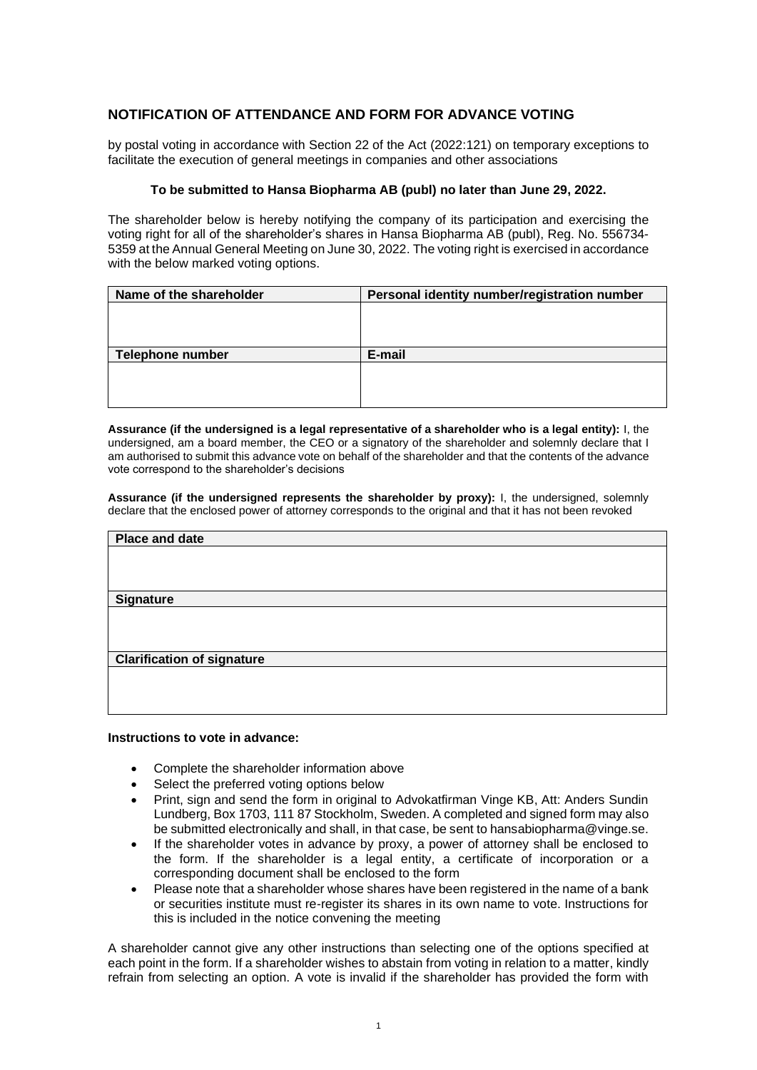## **NOTIFICATION OF ATTENDANCE AND FORM FOR ADVANCE VOTING**

by postal voting in accordance with Section 22 of the Act (2022:121) on temporary exceptions to facilitate the execution of general meetings in companies and other associations

## **To be submitted to Hansa Biopharma AB (publ) no later than June 29, 2022.**

The shareholder below is hereby notifying the company of its participation and exercising the voting right for all of the shareholder's shares in Hansa Biopharma AB (publ), Reg. No. 556734- 5359 at the Annual General Meeting on June 30, 2022. The voting right is exercised in accordance with the below marked voting options.

| Name of the shareholder | Personal identity number/registration number |
|-------------------------|----------------------------------------------|
|                         |                                              |
|                         |                                              |
|                         |                                              |
| <b>Telephone number</b> | E-mail                                       |
|                         |                                              |
|                         |                                              |
|                         |                                              |

**Assurance (if the undersigned is a legal representative of a shareholder who is a legal entity):** I, the undersigned, am a board member, the CEO or a signatory of the shareholder and solemnly declare that I am authorised to submit this advance vote on behalf of the shareholder and that the contents of the advance vote correspond to the shareholder's decisions

**Assurance (if the undersigned represents the shareholder by proxy):** I, the undersigned, solemnly declare that the enclosed power of attorney corresponds to the original and that it has not been revoked

| <b>Place and date</b>             |  |
|-----------------------------------|--|
|                                   |  |
|                                   |  |
|                                   |  |
| <b>Signature</b>                  |  |
|                                   |  |
|                                   |  |
|                                   |  |
| <b>Clarification of signature</b> |  |
|                                   |  |
|                                   |  |
|                                   |  |
|                                   |  |

## **Instructions to vote in advance:**

- Complete the shareholder information above
- Select the preferred voting options below
- Print, sign and send the form in original to Advokatfirman Vinge KB, Att: Anders Sundin Lundberg, Box 1703, 111 87 Stockholm, Sweden. A completed and signed form may also be submitted electronically and shall, in that case, be sent to hansabiopharma@vinge.se.
- If the shareholder votes in advance by proxy, a power of attorney shall be enclosed to the form. If the shareholder is a legal entity, a certificate of incorporation or a corresponding document shall be enclosed to the form
- Please note that a shareholder whose shares have been registered in the name of a bank or securities institute must re-register its shares in its own name to vote. Instructions for this is included in the notice convening the meeting

A shareholder cannot give any other instructions than selecting one of the options specified at each point in the form. If a shareholder wishes to abstain from voting in relation to a matter, kindly refrain from selecting an option. A vote is invalid if the shareholder has provided the form with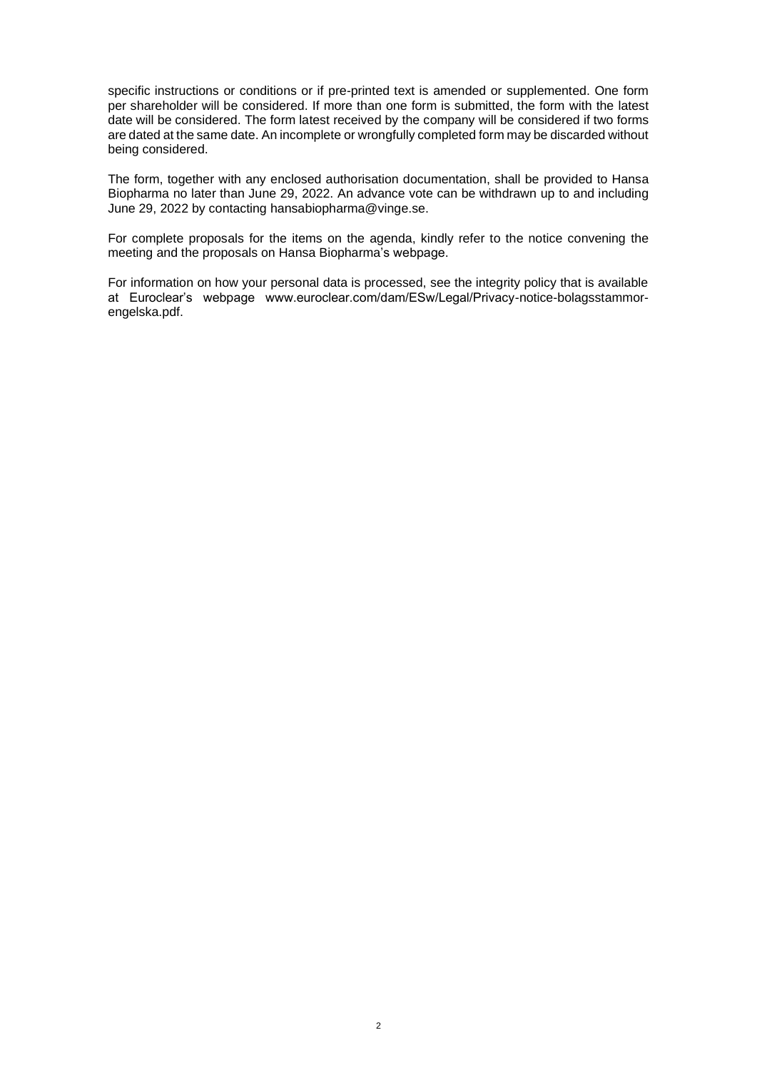specific instructions or conditions or if pre-printed text is amended or supplemented. One form per shareholder will be considered. If more than one form is submitted, the form with the latest date will be considered. The form latest received by the company will be considered if two forms are dated at the same date. An incomplete or wrongfully completed form may be discarded without being considered.

The form, together with any enclosed authorisation documentation, shall be provided to Hansa Biopharma no later than June 29, 2022. An advance vote can be withdrawn up to and including June 29, 2022 by contacting hansabiopharma@vinge.se.

For complete proposals for the items on the agenda, kindly refer to the notice convening the meeting and the proposals on Hansa Biopharma's webpage.

For information on how your personal data is processed, see the integrity policy that is available at Euroclear's webpage www.euroclear.com/dam/ESw/Legal/Privacy-notice-bolagsstammorengelska.pdf.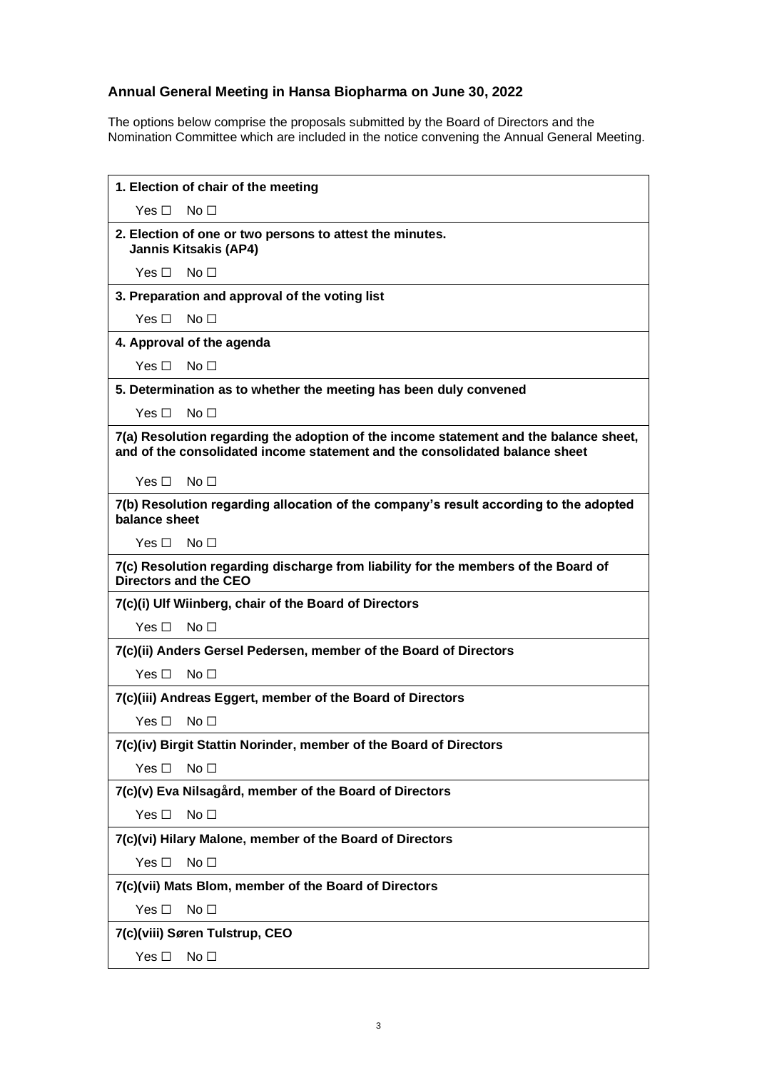## **Annual General Meeting in Hansa Biopharma on June 30, 2022**

The options below comprise the proposals submitted by the Board of Directors and the Nomination Committee which are included in the notice convening the Annual General Meeting.

| 1. Election of chair of the meeting                                                                                                                                  |  |
|----------------------------------------------------------------------------------------------------------------------------------------------------------------------|--|
| Yes $\Box$<br>No <sub>1</sub>                                                                                                                                        |  |
| 2. Election of one or two persons to attest the minutes.<br><b>Jannis Kitsakis (AP4)</b>                                                                             |  |
| No <sub>1</sub><br>Yes □                                                                                                                                             |  |
| 3. Preparation and approval of the voting list                                                                                                                       |  |
| Yes $\Box$<br>No <sub>1</sub>                                                                                                                                        |  |
| 4. Approval of the agenda                                                                                                                                            |  |
| Yes $\Box$<br>No <sub>1</sub>                                                                                                                                        |  |
| 5. Determination as to whether the meeting has been duly convened                                                                                                    |  |
| Yes $\Box$<br>No <sub>1</sub>                                                                                                                                        |  |
| 7(a) Resolution regarding the adoption of the income statement and the balance sheet,<br>and of the consolidated income statement and the consolidated balance sheet |  |
| Yes □<br>No $\Box$                                                                                                                                                   |  |
| 7(b) Resolution regarding allocation of the company's result according to the adopted<br>balance sheet                                                               |  |
| No <sub>1</sub><br>Yes □                                                                                                                                             |  |
| 7(c) Resolution regarding discharge from liability for the members of the Board of<br>Directors and the CEO                                                          |  |
| 7(c)(i) Ulf Wiinberg, chair of the Board of Directors                                                                                                                |  |
| Yes $\square$<br>No <sub>1</sub>                                                                                                                                     |  |
| 7(c)(ii) Anders Gersel Pedersen, member of the Board of Directors                                                                                                    |  |
| Yes □<br>No <sub>1</sub>                                                                                                                                             |  |
| 7(c)(iii) Andreas Eggert, member of the Board of Directors                                                                                                           |  |
| Yes $\square$<br>No $\Box$                                                                                                                                           |  |
| 7(c)(iv) Birgit Stattin Norinder, member of the Board of Directors                                                                                                   |  |
| Yes $\square$<br>No <sub>1</sub>                                                                                                                                     |  |
| 7(c)(v) Eva Nilsagård, member of the Board of Directors                                                                                                              |  |
| Yes $\square$<br>No <sub>1</sub>                                                                                                                                     |  |
| 7(c)(vi) Hilary Malone, member of the Board of Directors                                                                                                             |  |
| Yes $\square$<br>No <sub>1</sub>                                                                                                                                     |  |
| 7(c)(vii) Mats Blom, member of the Board of Directors                                                                                                                |  |
| Yes $\square$<br>No <sub>1</sub>                                                                                                                                     |  |
| 7(c)(viii) Søren Tulstrup, CEO                                                                                                                                       |  |
| Yes $\square$<br>No <sub>1</sub>                                                                                                                                     |  |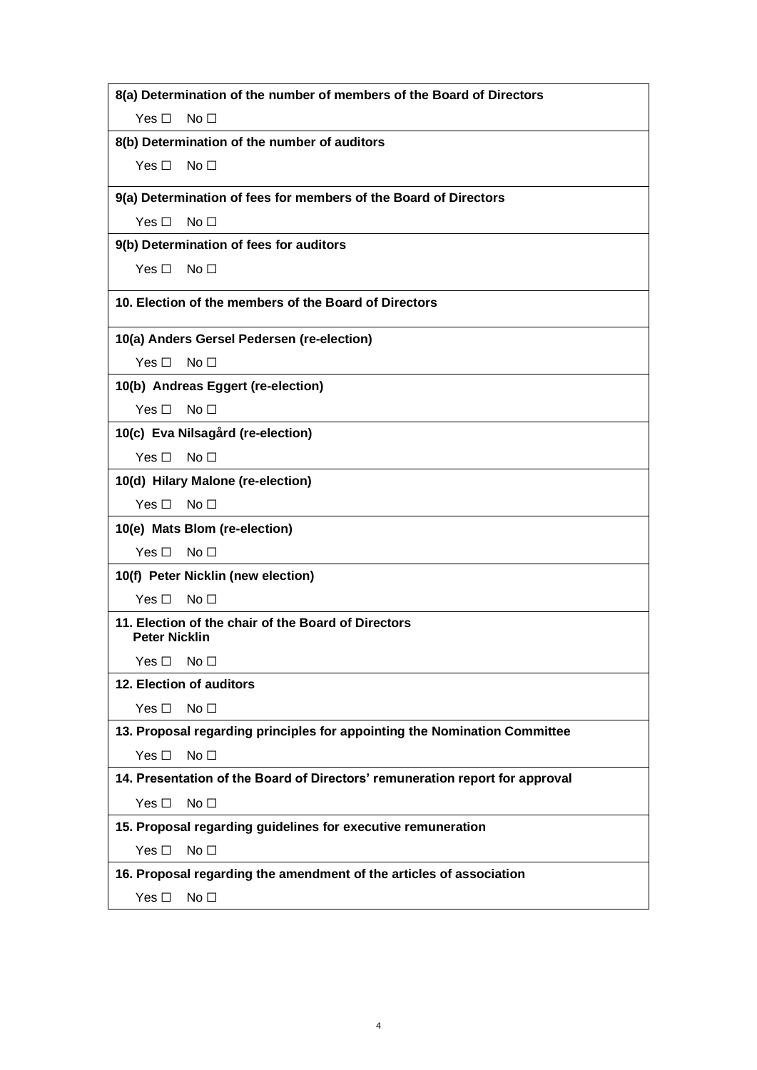| 8(a) Determination of the number of members of the Board of Directors        |
|------------------------------------------------------------------------------|
| Yes $\Box$<br>No <sub>1</sub>                                                |
| 8(b) Determination of the number of auditors                                 |
| Yes $\square$<br>No <sub>1</sub>                                             |
|                                                                              |
| 9(a) Determination of fees for members of the Board of Directors             |
| Yes $\Box$<br>No <sub>1</sub>                                                |
| 9(b) Determination of fees for auditors                                      |
| Yes $\Box$<br>No $\Box$                                                      |
| 10. Election of the members of the Board of Directors                        |
| 10(a) Anders Gersel Pedersen (re-election)                                   |
| Yes $\Box$<br>No $\Box$                                                      |
| 10(b) Andreas Eggert (re-election)                                           |
| Yes $\Box$<br>No <sub>1</sub>                                                |
| 10(c) Eva Nilsagård (re-election)                                            |
| No <sub>1</sub><br>Yes $\Box$                                                |
| 10(d) Hilary Malone (re-election)                                            |
| Yes $\Box$<br>No <sub>1</sub>                                                |
| 10(e) Mats Blom (re-election)                                                |
| Yes $\Box$<br>No <sub>1</sub>                                                |
| 10(f) Peter Nicklin (new election)                                           |
| Yes $\Box$<br>No <sub>1</sub>                                                |
| 11. Election of the chair of the Board of Directors<br><b>Peter Nicklin</b>  |
| No <sub>1</sub><br>Yes $\square$                                             |
| 12. Election of auditors                                                     |
| Yes $\square$<br>No <sub>1</sub>                                             |
| 13. Proposal regarding principles for appointing the Nomination Committee    |
| Yes $\square$<br>No <sub>1</sub>                                             |
| 14. Presentation of the Board of Directors' remuneration report for approval |
| No <sub>1</sub><br>Yes $\square$                                             |
| 15. Proposal regarding guidelines for executive remuneration                 |
| Yes $\square$<br>No <sub>1</sub>                                             |
| 16. Proposal regarding the amendment of the articles of association          |
| No <sub>1</sub><br>Yes $\square$                                             |